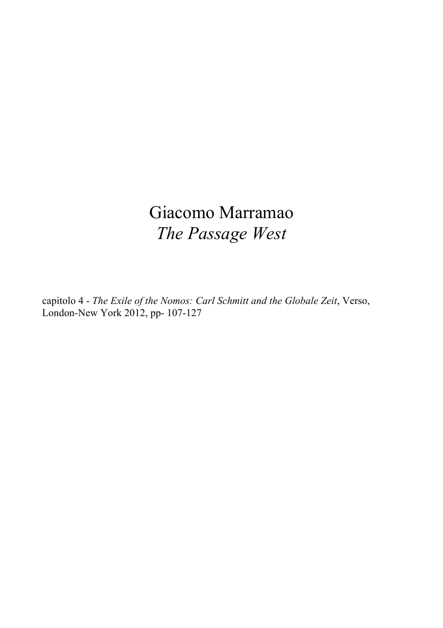# Giacomo Marramao *The Passage West*

capitolo 4 - *The Exile of the Nomos: Carl Schmitt and the Globale Zeit*, Verso, London-New York 2012, pp- 107-127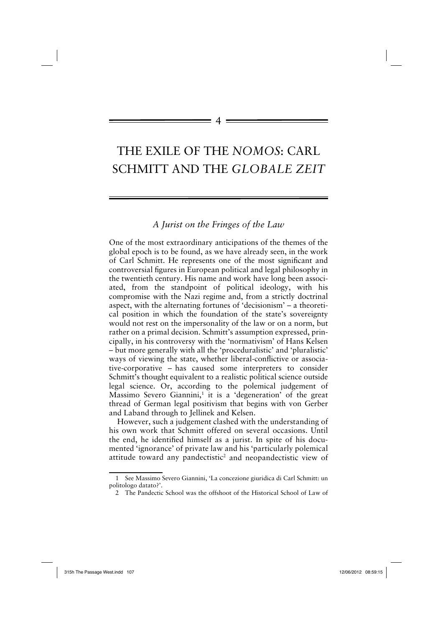## THE EXILE OF THE *NOMOS*: CARL SCHMITT AND THE *GLOBALE ZEIT*

4

## *A Jurist on the Fringes of the Law*

One of the most extraordinary anticipations of the themes of the global epoch is to be found, as we have already seen, in the work of Carl Schmitt. He represents one of the most significant and controversial figures in European political and legal philosophy in the twentieth century. His name and work have long been associated, from the standpoint of political ideology, with his compromise with the Nazi regime and, from a strictly doctrinal aspect, with the alternating fortunes of 'decisionism' – a theoretical position in which the foundation of the state's sovereignty would not rest on the impersonality of the law or on a norm, but rather on a primal decision. Schmitt's assumption expressed, principally, in his controversy with the 'normativism' of Hans Kelsen – but more generally with all the 'proceduralistic' and 'pluralistic' ways of viewing the state, whether liberal-conflictive or associative-corporative – has caused some interpreters to consider Schmitt's thought equivalent to a realistic political science outside legal science. Or, according to the polemical judgement of Massimo Severo Giannini,<sup>1</sup> it is a 'degeneration' of the great thread of German legal positivism that begins with von Gerber and Laband through to Jellinek and Kelsen.

However, such a judgement clashed with the understanding of his own work that Schmitt offered on several occasions. Until the end, he identified himself as a jurist. In spite of his documented 'ignorance' of private law and his 'particularly polemical attitude toward any pandectistic<sup>2</sup> and neopandectistic view of

<sup>1</sup> See Massimo Severo Giannini, 'La concezione giuridica di Carl Schmitt: un politologo datato?'.

<sup>2</sup> The Pandectic School was the offshoot of the Historical School of Law of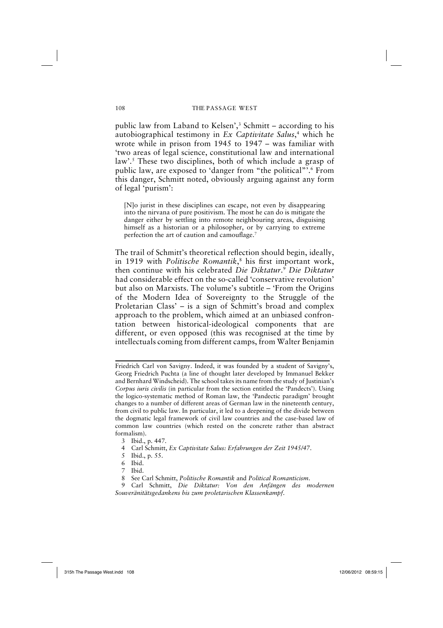public law from Laband to Kelsen', 3 Schmitt – according to his autobiographical testimony in *Ex Captivitate Salus*, 4 which he wrote while in prison from 1945 to 1947 – was familiar with 'two areas of legal science, constitutional law and international law'. 5 These two disciplines, both of which include a grasp of public law, are exposed to 'danger from "the political"'. 6 From this danger, Schmitt noted, obviously arguing against any form of legal 'purism':

[N]o jurist in these disciplines can escape, not even by disappearing into the nirvana of pure positivism. The most he can do is mitigate the danger either by settling into remote neighbouring areas, disguising himself as a historian or a philosopher, or by carrying to extreme perfection the art of caution and camouflage.<sup>7</sup>

The trail of Schmitt's theoretical reflection should begin, ideally, in 1919 with *Politische Romantik*,<sup>8</sup> his first important work, then continue with his celebrated *Die Diktatur*. <sup>9</sup> *Die Diktatur* had considerable effect on the so-called 'conservative revolution' but also on Marxists. The volume's subtitle – 'From the Origins of the Modern Idea of Sovereignty to the Struggle of the Proletarian Class' – is a sign of Schmitt's broad and complex approach to the problem, which aimed at an unbiased confrontation between historical-ideological components that are different, or even opposed (this was recognised at the time by intellectuals coming from different camps, from Walter Benjamin

3 Ibid., p. 447.

- 5 Ibid., p. 55.
- 6 Ibid.
- 
- $\frac{7}{8}$  Ibid. 8 See Carl Schmitt, *Politische Romantik* and *Political Romanticism*.

9 Carl Schmitt, *Die Diktatur: Von den Anfängen des modernen Souveränitätsgedankens bis zum proletarischen Klassenkampf*.

Friedrich Carl von Savigny. Indeed, it was founded by a student of Savigny's, Georg Friedrich Puchta (a line of thought later developed by Immanuel Bekker and Bernhard Windscheid). The school takes its name from the study of Justinian's *Corpus iuris civilis* (in particular from the section entitled the 'Pandects'). Using the logico-systematic method of Roman law, the 'Pandectic paradigm' brought changes to a number of different areas of German law in the nineteenth century, from civil to public law. In particular, it led to a deepening of the divide between the dogmatic legal framework of civil law countries and the case-based law of common law countries (which rested on the concrete rather than abstract formalism).

<sup>4</sup> Carl Schmitt, *Ex Captivitate Salus: Erfahrungen der Zeit 1945/47*.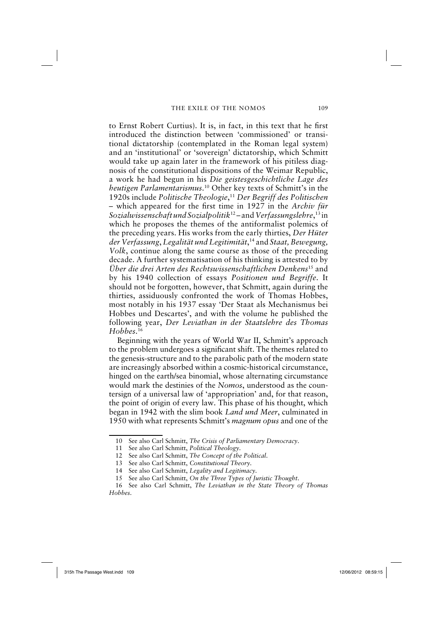to Ernst Robert Curtius). It is, in fact, in this text that he first introduced the distinction between 'commissioned' or transitional dictatorship (contemplated in the Roman legal system) and an 'institutional' or 'sovereign' dictatorship, which Schmitt would take up again later in the framework of his pitiless diagnosis of the constitutional dispositions of the Weimar Republic, a work he had begun in his *Die geistesgeschichtliche Lage des heutigen Parlamentarismus*. 10 Other key texts of Schmitt's in the 1920s include *Politische Theologie*, <sup>11</sup> *Der Begriff des Politischen*  – which appeared for the first time in 1927 in the *Archiv für Sozialwissenschaft und Sozialpolitik*<sup>12</sup> – and *Verfassungslehre*, 13 in which he proposes the themes of the antiformalist polemics of the preceding years. His works from the early thirties, *Der Hüter der Verfassung*, *Legalität und Legitimität*, 14 and *Staat, Bewegung, Volk*, continue along the same course as those of the preceding decade. A further systematisation of his thinking is attested to by *Über die drei Arten des Rechtswissenschaftlichen Denkens*15 and by his 1940 collection of essays *Positionen und Begriffe*. It should not be forgotten, however, that Schmitt, again during the thirties, assiduously confronted the work of Thomas Hobbes, most notably in his 1937 essay 'Der Staat als Mechanismus bei Hobbes und Descartes', and with the volume he published the following year, *Der Leviathan in der Staatslehre des Thomas Hobbes*. 16

Beginning with the years of World War II, Schmitt's approach to the problem undergoes a significant shift. The themes related to the genesis-structure and to the parabolic path of the modern state are increasingly absorbed within a cosmic-historical circumstance, hinged on the earth/sea binomial, whose alternating circumstance would mark the destinies of the *Nomos*, understood as the countersign of a universal law of 'appropriation' and, for that reason, the point of origin of every law. This phase of his thought, which began in 1942 with the slim book *Land und Meer*, culminated in 1950 with what represents Schmitt's *magnum opus* and one of the

<sup>10</sup> See also Carl Schmitt, *The Crisis of Parliamentary Democracy*.

<sup>11</sup> See also Carl Schmitt, *Political Theology*.

<sup>12</sup> See also Carl Schmitt, *The Concept of the Political*.

<sup>13</sup> See also Carl Schmitt, *Constitutional Theory*.

<sup>14</sup> See also Carl Schmitt, *Legality and Legitimacy*.

<sup>15</sup> See also Carl Schmitt, *On the Three Types of Juristic Thought*.

<sup>16</sup> See also Carl Schmitt, *The Leviathan in the State Theory of Thomas Hobbes*.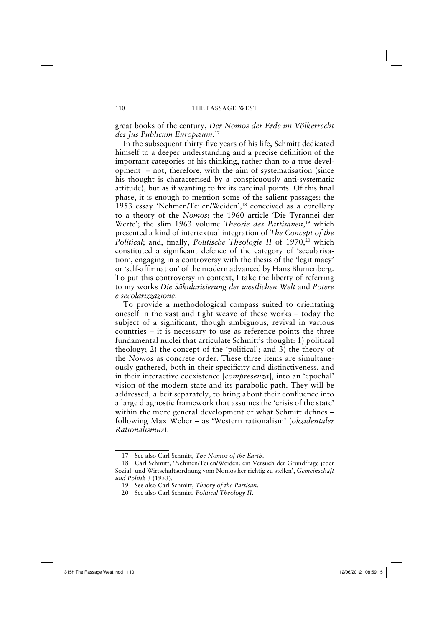great books of the century, *Der Nomos der Erde im Völkerrecht des Jus Publicum Europæum*. 17

In the subsequent thirty-five years of his life, Schmitt dedicated himself to a deeper understanding and a precise definition of the important categories of his thinking, rather than to a true development – not, therefore, with the aim of systematisation (since his thought is characterised by a conspicuously anti-systematic attitude), but as if wanting to fix its cardinal points. Of this final phase, it is enough to mention some of the salient passages: the 1953 essay 'Nehmen/Teilen/Weiden', 18 conceived as a corollary to a theory of the *Nomos*; the 1960 article 'Die Tyrannei der Werte'; the slim 1963 volume *Theorie des Partisanen*, 19 which presented a kind of intertextual integration of *The Concept of the Political*; and, finally, *Politische Theologie II* of 1970,<sup>20</sup> which constituted a significant defence of the category of 'secularisation', engaging in a controversy with the thesis of the 'legitimacy' or 'self-affirmation' of the modern advanced by Hans Blumenberg. To put this controversy in context, I take the liberty of referring to my works *Die Säkularisierung der westlichen Welt* and *Potere e secolarizzazione*.

To provide a methodological compass suited to orientating oneself in the vast and tight weave of these works – today the subject of a significant, though ambiguous, revival in various countries – it is necessary to use as reference points the three fundamental nuclei that articulate Schmitt's thought: 1) political theology; 2) the concept of the 'political'; and 3) the theory of the *Nomos* as concrete order. These three items are simultaneously gathered, both in their specificity and distinctiveness, and in their interactive coexistence [*compresenza*], into an 'epochal' vision of the modern state and its parabolic path. They will be addressed, albeit separately, to bring about their confluence into a large diagnostic framework that assumes the 'crisis of the state' within the more general development of what Schmitt defines – following Max Weber – as 'Western rationalism' (*okzidentaler Rationalismus*).

<sup>17</sup> See also Carl Schmitt, *The Nomos of the Earth*.

<sup>18</sup> Carl Schmitt, 'Nehmen/Teilen/Weiden: ein Versuch der Grundfrage jeder Sozial- und Wirtschaftsordnung vom Nomos her richtig zu stellen', *Gemeinschaft und Politik* 3 (1953).

<sup>19</sup> See also Carl Schmitt, *Theory of the Partisan*.

<sup>20</sup> See also Carl Schmitt, *Political Theology II*.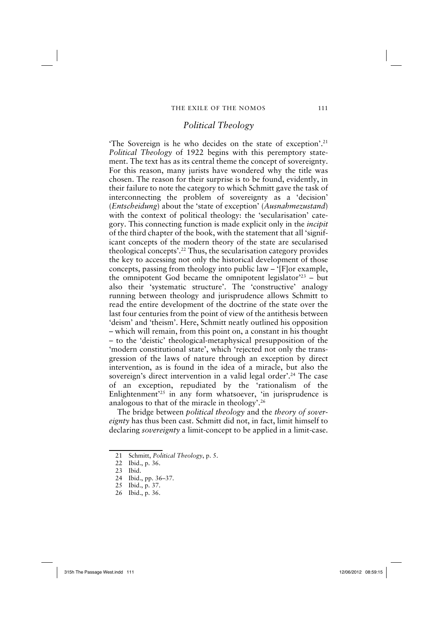## *Political Theology*

'The Sovereign is he who decides on the state of exception'. 21 *Political Theology* of 1922 begins with this peremptory statement. The text has as its central theme the concept of sovereignty. For this reason, many jurists have wondered why the title was chosen. The reason for their surprise is to be found, evidently, in their failure to note the category to which Schmitt gave the task of interconnecting the problem of sovereignty as a 'decision' (*Entscheidung*) about the 'state of exception' (*Ausnahmezustand*) with the context of political theology: the 'secularisation' category. This connecting function is made explicit only in the *incipit* of the third chapter of the book, with the statement that all 'significant concepts of the modern theory of the state are secularised theological concepts'. 22 Thus, the secularisation category provides the key to accessing not only the historical development of those concepts, passing from theology into public law – '[F]or example, the omnipotent God became the omnipotent legislator<sup> $23$ </sup> – but also their 'systematic structure'. The 'constructive' analogy running between theology and jurisprudence allows Schmitt to read the entire development of the doctrine of the state over the last four centuries from the point of view of the antithesis between 'deism' and 'theism'. Here, Schmitt neatly outlined his opposition – which will remain, from this point on, a constant in his thought – to the 'deistic' theological-metaphysical presupposition of the 'modern constitutional state', which 'rejected not only the transgression of the laws of nature through an exception by direct intervention, as is found in the idea of a miracle, but also the sovereign's direct intervention in a valid legal order'. 24 The case of an exception, repudiated by the 'rationalism of the Enlightenment' 25 in any form whatsoever, 'in jurisprudence is analogous to that of the miracle in theology'. 26

The bridge between *political theology* and the *theory of sovereignty* has thus been cast. Schmitt did not, in fact, limit himself to declaring *sovereignty* a limit-concept to be applied in a limit-case.

<sup>21</sup> Schmitt, *Political Theology*, p. 5.

Ibid., p. 36.

<sup>23</sup> Ibid.

<sup>24</sup> Ibid., pp. 36–37.

<sup>25</sup> Ibid., p. 37.

<sup>26</sup> Ibid., p. 36.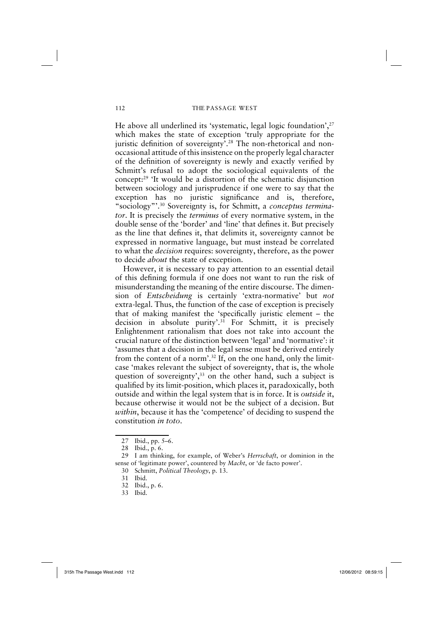He above all underlined its 'systematic, legal logic foundation', 27 which makes the state of exception 'truly appropriate for the juristic definition of sovereignty'.<sup>28</sup> The non-rhetorical and nonoccasional attitude of this insistence on the properly legal character of the definition of sovereignty is newly and exactly verified by Schmitt's refusal to adopt the sociological equivalents of the concept:29 'It would be a distortion of the schematic disjunction between sociology and jurisprudence if one were to say that the exception has no juristic significance and is, therefore, "sociology"'. 30 Sovereignty is, for Schmitt, a *conceptus terminator*. It is precisely the *terminus* of every normative system, in the double sense of the 'border' and 'line' that defines it. But precisely as the line that defines it, that delimits it, sovereignty cannot be expressed in normative language, but must instead be correlated to what the *decision* requires: sovereignty, therefore, as the power to decide *about* the state of exception.

However, it is necessary to pay attention to an essential detail of this defining formula if one does not want to run the risk of misunderstanding the meaning of the entire discourse. The dimension of *Entscheidung* is certainly 'extra-normative' but *not* extra-legal. Thus, the function of the case of exception is precisely that of making manifest the 'specifically juristic element  $-$  the decision in absolute purity'. 31 For Schmitt, it is precisely Enlightenment rationalism that does not take into account the crucial nature of the distinction between 'legal' and 'normative': it 'assumes that a decision in the legal sense must be derived entirely from the content of a norm'. 32 If, on the one hand, only the limitcase 'makes relevant the subject of sovereignty, that is, the whole question of sovereignty', 33 on the other hand, such a subject is qualified by its limit-position, which places it, paradoxically, both outside and within the legal system that is in force. It is *outside* it, because otherwise it would not be the subject of a decision. But *within*, because it has the 'competence' of deciding to suspend the constitution *in toto*.

<sup>27</sup> Ibid., pp. 5–6.

<sup>28</sup> Ibid., p. 6.

<sup>29</sup> I am thinking, for example, of Weber's *Herrschaft*, or dominion in the sense of 'legitimate power', countered by *Macht*, or 'de facto power'.

<sup>30</sup> Schmitt, *Political Theology*, p. 13.

<sup>31</sup> Ibid.

<sup>32</sup> Ibid., p. 6.

<sup>33</sup> Ibid.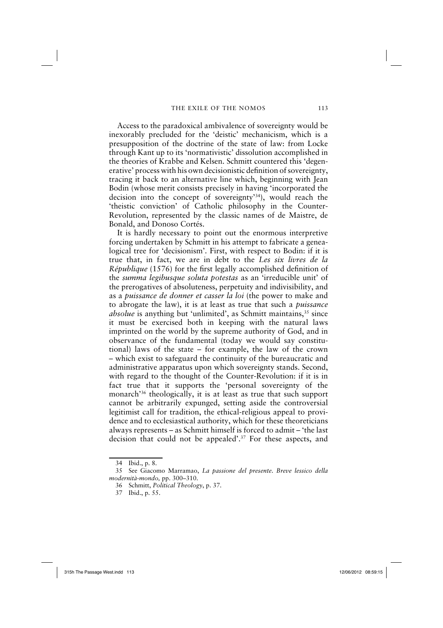Access to the paradoxical ambivalence of sovereignty would be inexorably precluded for the 'deistic' mechanicism, which is a presupposition of the doctrine of the state of law: from Locke through Kant up to its 'normativistic' dissolution accomplished in the theories of Krabbe and Kelsen. Schmitt countered this 'degenerative' process with his own decisionistic definition of sovereignty, tracing it back to an alternative line which, beginning with Jean Bodin (whose merit consists precisely in having 'incorporated the decision into the concept of sovereignty' 34), would reach the 'theistic conviction' of Catholic philosophy in the Counter-Revolution, represented by the classic names of de Maistre, de Bonald, and Donoso Cortés.

It is hardly necessary to point out the enormous interpretive forcing undertaken by Schmitt in his attempt to fabricate a genealogical tree for 'decisionism'. First, with respect to Bodin: if it is true that, in fact, we are in debt to the *Les six livres de la République* (1576) for the first legally accomplished definition of the *summa legibusque soluta potestas* as an 'irreducible unit' of the prerogatives of absoluteness, perpetuity and indivisibility, and as a *puissance de donner et casser la loi* (the power to make and to abrogate the law), it is at least as true that such a *puissance absolue* is anything but 'unlimited', as Schmitt maintains,<sup>35</sup> since it must be exercised both in keeping with the natural laws imprinted on the world by the supreme authority of God, and in observance of the fundamental (today we would say constitutional) laws of the state – for example, the law of the crown – which exist to safeguard the continuity of the bureaucratic and administrative apparatus upon which sovereignty stands. Second, with regard to the thought of the Counter-Revolution: if it is in fact true that it supports the 'personal sovereignty of the monarch' 36 theologically, it is at least as true that such support cannot be arbitrarily expunged, setting aside the controversial legitimist call for tradition, the ethical-religious appeal to providence and to ecclesiastical authority, which for these theoreticians always represents – as Schmitt himself is forced to admit – 'the last decision that could not be appealed'. 37 For these aspects, and

<sup>34</sup> Ibid., p. 8.

<sup>35</sup> See Giacomo Marramao, *La passione del presente. Breve lessico della modernità-mondo,* pp. 300–310.

<sup>36</sup> Schmitt, *Political Theology*, p. 37.

<sup>37</sup> Ibid., p. 55.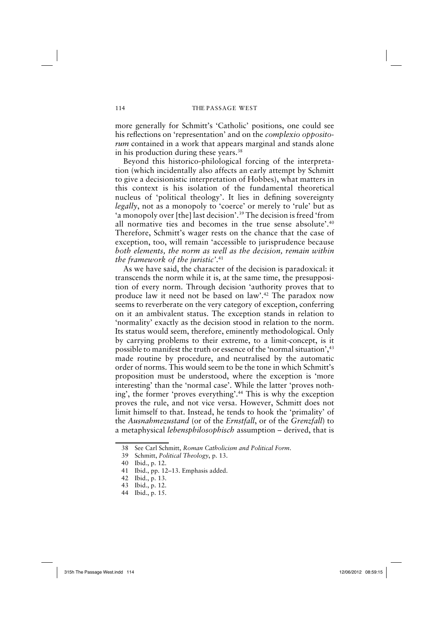more generally for Schmitt's 'Catholic' positions, one could see his refl ections on 'representation' and on the *complexio oppositorum* contained in a work that appears marginal and stands alone in his production during these years.<sup>38</sup>

Beyond this historico-philological forcing of the interpretation (which incidentally also affects an early attempt by Schmitt to give a decisionistic interpretation of Hobbes), what matters in this context is his isolation of the fundamental theoretical nucleus of 'political theology'. It lies in defining sovereignty *legally*, not as a monopoly to 'coerce' or merely to 'rule' but as 'a monopoly over [the] last decision'. 39 The decision is freed 'from all normative ties and becomes in the true sense absolute'. 40 Therefore, Schmitt's wager rests on the chance that the case of exception, too, will remain 'accessible to jurisprudence because *both elements, the norm as well as the decision, remain within the framework of the juristic'*. 41

As we have said, the character of the decision is paradoxical: it transcends the norm while it is, at the same time, the presupposition of every norm. Through decision 'authority proves that to produce law it need not be based on law'. 42 The paradox now seems to reverberate on the very category of exception, conferring on it an ambivalent status. The exception stands in relation to 'normality' exactly as the decision stood in relation to the norm. Its status would seem, therefore, eminently methodological. Only by carrying problems to their extreme, to a limit-concept, is it possible to manifest the truth or essence of the 'normal situation', 43 made routine by procedure, and neutralised by the automatic order of norms. This would seem to be the tone in which Schmitt's proposition must be understood, where the exception is 'more interesting' than the 'normal case'. While the latter 'proves nothing', the former 'proves everything'. 44 This is why the exception proves the rule, and not vice versa. However, Schmitt does not limit himself to that. Instead, he tends to hook the 'primality' of the *Ausnahmezustand* (or of the *Ernstfall*, or of the *Grenzfall*) to a metaphysical *lebensphilosophisch* assumption – derived, that is

<sup>38</sup> See Carl Schmitt, *Roman Catholicism and Political Form*.

<sup>39</sup> Schmitt, *Political Theology*, p. 13.

<sup>40</sup> Ibid., p. 12.

<sup>41</sup> Ibid., pp. 12–13. Emphasis added.

<sup>42</sup> Ibid., p. 13.

<sup>43</sup> Ibid., p. 12.

<sup>44</sup> Ibid., p. 15.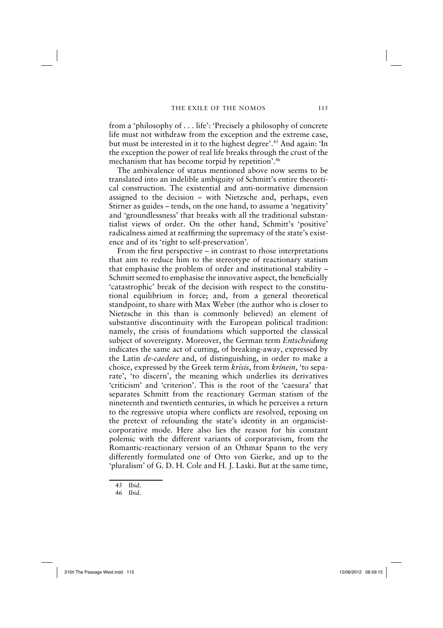from a 'philosophy of . . . life': 'Precisely a philosophy of concrete life must not withdraw from the exception and the extreme case, but must be interested in it to the highest degree'. 45 And again: 'In the exception the power of real life breaks through the crust of the mechanism that has become torpid by repetition'. 46

The ambivalence of status mentioned above now seems to be translated into an indelible ambiguity of Schmitt's entire theoretical construction. The existential and anti-normative dimension assigned to the decision – with Nietzsche and, perhaps, even Stirner as guides – tends, on the one hand, to assume a 'negativity' and 'groundlessness' that breaks with all the traditional substantialist views of order. On the other hand, Schmitt's 'positive' radicalness aimed at reaffirming the supremacy of the state's existence and of its 'right to self-preservation'.

From the first perspective  $-$  in contrast to those interpretations that aim to reduce him to the stereotype of reactionary statism that emphasise the problem of order and institutional stability – Schmitt seemed to emphasise the innovative aspect, the beneficially 'catastrophic' break of the decision with respect to the constitutional equilibrium in force; and, from a general theoretical standpoint, to share with Max Weber (the author who is closer to Nietzsche in this than is commonly believed) an element of substantive discontinuity with the European political tradition: namely, the crisis of foundations which supported the classical subject of sovereignty. Moreover, the German term *Entscheidung* indicates the same act of cutting, of breaking-away, expressed by the Latin *de-caedere* and, of distinguishing, in order to make a choice, expressed by the Greek term *krísis*, from *krínein*, 'to separate', 'to discern', the meaning which underlies its derivatives 'criticism' and 'criterion'. This is the root of the 'caesura' that separates Schmitt from the reactionary German statism of the nineteenth and twentieth centuries, in which he perceives a return to the regressive utopia where conflicts are resolved, reposing on the pretext of refounding the state's identity in an organicistcorporative mode. Here also lies the reason for his constant polemic with the different variants of corporativism, from the Romantic-reactionary version of an Othmar Spann to the very differently formulated one of Otto von Gierke, and up to the 'pluralism' of G. D. H. Cole and H. J. Laski. But at the same time,

<sup>45</sup> Ibid.

<sup>46</sup> Ibid.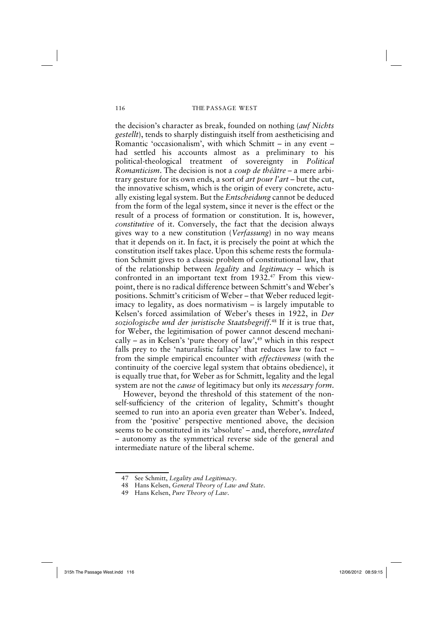the decision's character as break, founded on nothing (*auf Nichts gestellt*), tends to sharply distinguish itself from aestheticising and Romantic 'occasionalism', with which Schmitt – in any event – had settled his accounts almost as a preliminary to his political-theological treatment of sovereignty in *Political Romanticism*. The decision is not a *coup de théâtre* – a mere arbitrary gesture for its own ends, a sort of *art pour l'art* – but the cut, the innovative schism, which is the origin of every concrete, actually existing legal system. But the *Entscheidung* cannot be deduced from the form of the legal system, since it never is the effect or the result of a process of formation or constitution. It is, however, *constitutive* of it. Conversely, the fact that the decision always gives way to a new constitution (*Verfassung*) in no way means that it depends on it. In fact, it is precisely the point at which the constitution itself takes place. Upon this scheme rests the formulation Schmitt gives to a classic problem of constitutional law, that of the relationship between *legality* and *legitimacy* – which is confronted in an important text from 1932.<sup>47</sup> From this viewpoint, there is no radical difference between Schmitt's and Weber's positions. Schmitt's criticism of Weber – that Weber reduced legitimacy to legality, as does normativism – is largely imputable to Kelsen's forced assimilation of Weber's theses in 1922, in *Der soziologische und der juristische Staatsbegriff*. 48 If it is true that, for Weber, the legitimisation of power cannot descend mechanically – as in Kelsen's 'pure theory of law', 49 which in this respect falls prey to the 'naturalistic fallacy' that reduces law to fact – from the simple empirical encounter with *effectiveness* (with the continuity of the coercive legal system that obtains obedience), it is equally true that, for Weber as for Schmitt, legality and the legal system are not the *cause* of legitimacy but only its *necessary form*.

However, beyond the threshold of this statement of the nonself-sufficiency of the criterion of legality, Schmitt's thought seemed to run into an aporia even greater than Weber's. Indeed, from the 'positive' perspective mentioned above, the decision seems to be constituted in its 'absolute' – and, therefore, *unrelated* – autonomy as the symmetrical reverse side of the general and intermediate nature of the liberal scheme.

<sup>47</sup> See Schmitt, *Legality and Legitimacy*.

<sup>48</sup> Hans Kelsen, *General Theory of Law and State*.

<sup>49</sup> Hans Kelsen, *Pure Theory of Law*.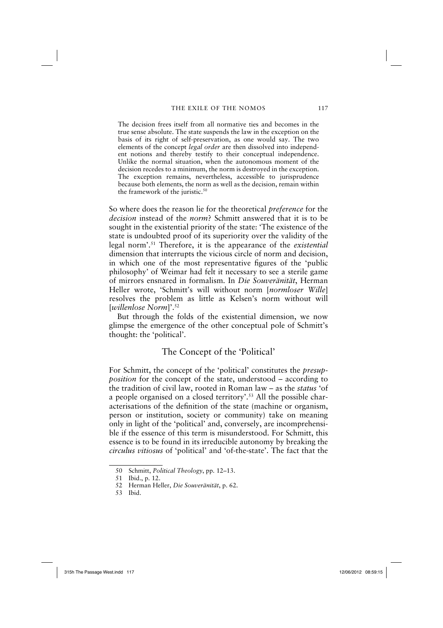The decision frees itself from all normative ties and becomes in the true sense absolute. The state suspends the law in the exception on the basis of its right of self-preservation, as one would say. The two elements of the concept *legal order* are then dissolved into independent notions and thereby testify to their conceptual independence. Unlike the normal situation, when the autonomous moment of the decision recedes to a minimum, the norm is destroyed in the exception. The exception remains, nevertheless, accessible to jurisprudence because both elements, the norm as well as the decision, remain within the framework of the juristic.<sup>50</sup>

So where does the reason lie for the theoretical *preference* for the *decision* instead of the *norm*? Schmitt answered that it is to be sought in the existential priority of the state: 'The existence of the state is undoubted proof of its superiority over the validity of the legal norm'. 51 Therefore, it is the appearance of the *existential* dimension that interrupts the vicious circle of norm and decision, in which one of the most representative figures of the 'public philosophy' of Weimar had felt it necessary to see a sterile game of mirrors ensnared in formalism. In *Die Souveränität*, Herman Heller wrote, 'Schmitt's will without norm [*normloser Wille*] resolves the problem as little as Kelsen's norm without will [*willenlose Norm*]'. 52

But through the folds of the existential dimension, we now glimpse the emergence of the other conceptual pole of Schmitt's thought: the 'political'.

## The Concept of the 'Political'

For Schmitt, the concept of the 'political' constitutes the *presupposition* for the concept of the state, understood – according to the tradition of civil law, rooted in Roman law – as the *status* 'of a people organised on a closed territory'. 53 All the possible characterisations of the definition of the state (machine or organism, person or institution, society or community) take on meaning only in light of the 'political' and, conversely, are incomprehensible if the essence of this term is misunderstood. For Schmitt, this essence is to be found in its irreducible autonomy by breaking the *circulus vitiosus* of 'political' and 'of-the-state'. The fact that the

<sup>50</sup> Schmitt, *Political Theology*, pp. 12–13.

<sup>51</sup> Ibid., p. 12.

<sup>52</sup> Herman Heller, *Die Souveränität*, p. 62.

<sup>53</sup> Ibid.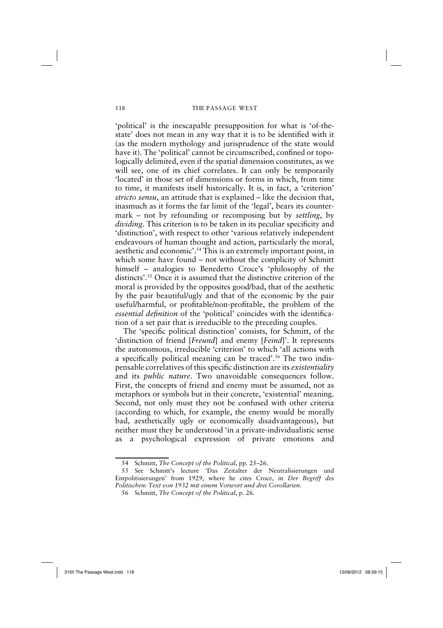'political' is the inescapable presupposition for what is 'of-thestate' does not mean in any way that it is to be identified with it (as the modern mythology and jurisprudence of the state would have it). The 'political' cannot be circumscribed, confined or topologically delimited, even if the spatial dimension constitutes, as we will see, one of its chief correlates. It can only be temporarily 'located' in those set of dimensions or forms in which, from time to time, it manifests itself historically. It is, in fact, a 'criterion' *stricto sensu*, an attitude that is explained – like the decision that, inasmuch as it forms the far limit of the 'legal', bears its countermark – not by refounding or recomposing but by *settling*, by *dividing*. This criterion is to be taken in its peculiar specificity and 'distinction', with respect to other 'various relatively independent endeavours of human thought and action, particularly the moral, aesthetic and economic'. 54 This is an extremely important point, in which some have found – not without the complicity of Schmitt himself – analogies to Benedetto Croce's 'philosophy of the distincts'. 55 Once it is assumed that the distinctive criterion of the moral is provided by the opposites good/bad, that of the aesthetic by the pair beautiful/ugly and that of the economic by the pair useful/harmful, or profitable/non-profitable, the problem of the *essential definition* of the 'political' coincides with the identification of a set pair that is irreducible to the preceding couples.

The 'specific political distinction' consists, for Schmitt, of the 'distinction of friend [*Freund*] and enemy [*Feind*]'. It represents the autonomous, irreducible 'criterion' to which 'all actions with a specifically political meaning can be traced'.<sup>56</sup> The two indispensable correlatives of this specific distinction are its *existentiality* and its *public nature*. Two unavoidable consequences follow. First, the concepts of friend and enemy must be assumed, not as metaphors or symbols but in their concrete, 'existential' meaning. Second, not only must they not be confused with other criteria (according to which, for example, the enemy would be morally bad, aesthetically ugly or economically disadvantageous), but neither must they be understood 'in a private-individualistic sense as a psychological expression of private emotions and

<sup>54</sup> Schmitt, *The Concept of the Political*, pp. 25–26.

<sup>55</sup> See Schmitt's lecture 'Das Zeitalter der Neutralisierungen und Entpolitisierungen' from 1929, where he cites Croce, in *Der Begriff des Politischen: Text von 1932 mit einem Vorwort und drei Corollarien*.

<sup>56</sup> Schmitt, *The Concept of the Political*, p. 26.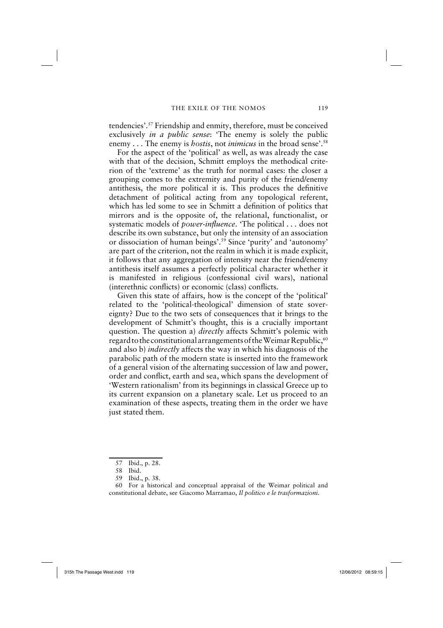tendencies'. 57 Friendship and enmity, therefore, must be conceived exclusively *in a public sense*: 'The enemy is solely the public enemy . . . The enemy is *hostis*, not *inimicus* in the broad sense'. 58

For the aspect of the 'political' as well, as was already the case with that of the decision, Schmitt employs the methodical criterion of the 'extreme' as the truth for normal cases: the closer a grouping comes to the extremity and purity of the friend/enemy antithesis, the more political it is. This produces the definitive detachment of political acting from any topological referent, which has led some to see in Schmitt a definition of politics that mirrors and is the opposite of, the relational, functionalist, or systematic models of *power-influence*. 'The political . . . does not describe its own substance, but only the intensity of an association or dissociation of human beings'. 59 Since 'purity' and 'autonomy' are part of the criterion, not the realm in which it is made explicit, it follows that any aggregation of intensity near the friend/enemy antithesis itself assumes a perfectly political character whether it is manifested in religious (confessional civil wars), national (interethnic conflicts) or economic (class) conflicts.

Given this state of affairs, how is the concept of the 'political' related to the 'political-theological' dimension of state sovereignty? Due to the two sets of consequences that it brings to the development of Schmitt's thought, this is a crucially important question. The question a) *directly* affects Schmitt's polemic with regard to the constitutional arrangements of the Weimar Republic,  $60$ and also b) *indirectly* affects the way in which his diagnosis of the parabolic path of the modern state is inserted into the framework of a general vision of the alternating succession of law and power, order and conflict, earth and sea, which spans the development of 'Western rationalism' from its beginnings in classical Greece up to its current expansion on a planetary scale. Let us proceed to an examination of these aspects, treating them in the order we have just stated them.

315h The Passage West.indd 119 12/06/2012 08:59:15

<sup>57</sup> Ibid., p. 28.

<sup>58</sup> Ibid.

<sup>59</sup> Ibid., p. 38.

<sup>60</sup> For a historical and conceptual appraisal of the Weimar political and constitutional debate, see Giacomo Marramao, *Il politico e le trasformazioni*.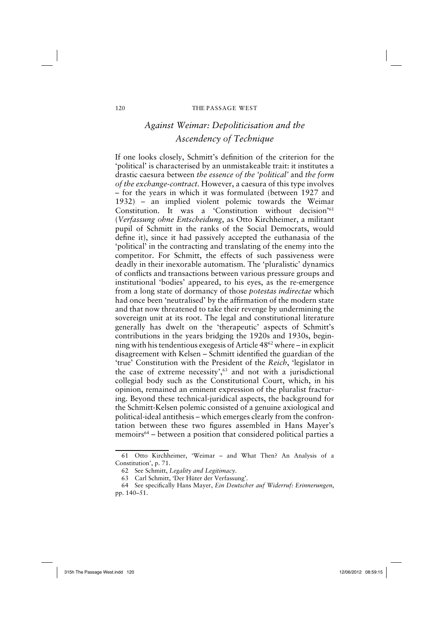## *Against Weimar: Depoliticisation and the Ascendency of Technique*

If one looks closely, Schmitt's definition of the criterion for the 'political' is characterised by an unmistakeable trait: it institutes a drastic caesura between *the essence of the 'political'* and *the form of the exchange-contract*. However, a caesura of this type involves – for the years in which it was formulated (between 1927 and 1932) – an implied violent polemic towards the Weimar Constitution. It was a 'Constitution without decision' 61 (*Verfassung ohne Entscheidung*, as Otto Kirchheimer, a militant pupil of Schmitt in the ranks of the Social Democrats, would define it), since it had passively accepted the euthanasia of the 'political' in the contracting and translating of the enemy into the competitor. For Schmitt, the effects of such passiveness were deadly in their inexorable automatism. The 'pluralistic' dynamics of conflicts and transactions between various pressure groups and institutional 'bodies' appeared, to his eyes, as the re-emergence from a long state of dormancy of those *potestas indirectae* which had once been 'neutralised' by the affirmation of the modern state and that now threatened to take their revenge by undermining the sovereign unit at its root. The legal and constitutional literature generally has dwelt on the 'therapeutic' aspects of Schmitt's contributions in the years bridging the 1920s and 1930s, beginning with his tendentious exegesis of Article  $48^{62}$  where – in explicit disagreement with Kelsen – Schmitt identified the guardian of the 'true' Constitution with the President of the *Reich*, 'legislator in the case of extreme necessity', 63 and not with a jurisdictional collegial body such as the Constitutional Court, which, in his opinion, remained an eminent expression of the pluralist fracturing. Beyond these technical-juridical aspects, the background for the Schmitt-Kelsen polemic consisted of a genuine axiological and political-ideal antithesis – which emerges clearly from the confrontation between these two figures assembled in Hans Mayer's memoirs $64$  – between a position that considered political parties a

<sup>61</sup> Otto Kirchheimer, 'Weimar – and What Then? An Analysis of a Constitution', p. 71.

<sup>62</sup> See Schmitt, *Legality and Legitimacy*.

<sup>63</sup> Carl Schmitt, 'Der Hüter der Verfassung'*.*

<sup>64</sup> See specifically Hans Mayer, *Ein Deutscher auf Widerruf: Erinnerungen*, pp. 140–51.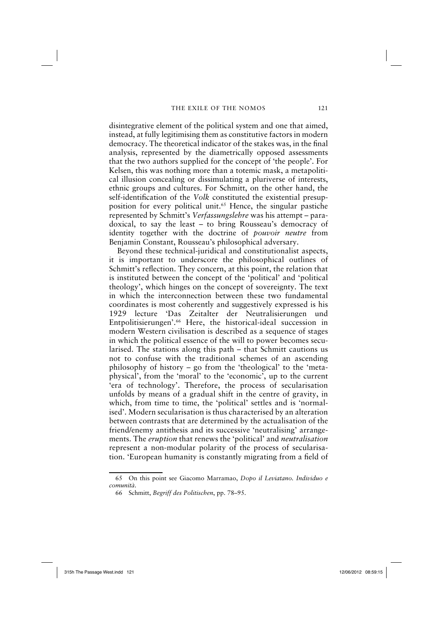disintegrative element of the political system and one that aimed, instead, at fully legitimising them as constitutive factors in modern democracy. The theoretical indicator of the stakes was, in the final analysis, represented by the diametrically opposed assessments that the two authors supplied for the concept of 'the people'. For Kelsen, this was nothing more than a totemic mask, a metapolitical illusion concealing or dissimulating a pluriverse of interests, ethnic groups and cultures. For Schmitt, on the other hand, the self-identification of the *Volk* constituted the existential presupposition for every political unit.<sup>65</sup> Hence, the singular pastiche represented by Schmitt's *Verfassungslehre* was his attempt – paradoxical, to say the least – to bring Rousseau's democracy of identity together with the doctrine of *pouvoir neutre* from Benjamin Constant, Rousseau's philosophical adversary.

Beyond these technical-juridical and constitutionalist aspects, it is important to underscore the philosophical outlines of Schmitt's reflection. They concern, at this point, the relation that is instituted between the concept of the 'political' and 'political theology', which hinges on the concept of sovereignty. The text in which the interconnection between these two fundamental coordinates is most coherently and suggestively expressed is his 1929 lecture 'Das Zeitalter der Neutralisierungen und Entpolitisierungen'. 66 Here, the historical-ideal succession in modern Western civilisation is described as a sequence of stages in which the political essence of the will to power becomes secularised. The stations along this path – that Schmitt cautions us not to confuse with the traditional schemes of an ascending philosophy of history – go from the 'theological' to the 'metaphysical', from the 'moral' to the 'economic', up to the current 'era of technology'. Therefore, the process of secularisation unfolds by means of a gradual shift in the centre of gravity, in which, from time to time, the 'political' settles and is 'normalised'. Modern secularisation is thus characterised by an alteration between contrasts that are determined by the actualisation of the friend/enemy antithesis and its successive 'neutralising' arrangements. The *eruption* that renews the 'political' and *neutralisation* represent a non-modular polarity of the process of secularisation. 'European humanity is constantly migrating from a field of

<sup>65</sup> On this point see Giacomo Marramao, *Dopo il Leviatano. Individuo e comunità*.

<sup>66</sup> Schmitt, *Begriff des Politischen*, pp. 78–95.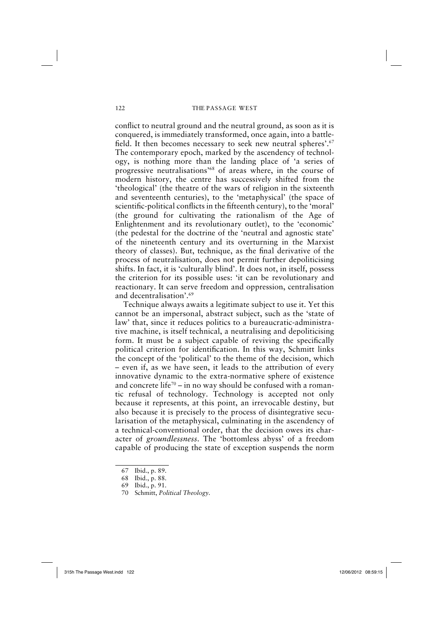conflict to neutral ground and the neutral ground, as soon as it is conquered, is immediately transformed, once again, into a battlefield. It then becomes necessary to seek new neutral spheres'.<sup>67</sup> The contemporary epoch, marked by the ascendency of technology, is nothing more than the landing place of 'a series of progressive neutralisations' 68 of areas where, in the course of modern history, the centre has successively shifted from the 'theological' (the theatre of the wars of religion in the sixteenth and seventeenth centuries), to the 'metaphysical' (the space of scientific-political conflicts in the fifteenth century), to the 'moral' (the ground for cultivating the rationalism of the Age of Enlightenment and its revolutionary outlet), to the 'economic' (the pedestal for the doctrine of the 'neutral and agnostic state' of the nineteenth century and its overturning in the Marxist theory of classes). But, technique, as the final derivative of the process of neutralisation, does not permit further depoliticising shifts. In fact, it is 'culturally blind'. It does not, in itself, possess the criterion for its possible uses: 'it can be revolutionary and reactionary. It can serve freedom and oppression, centralisation and decentralisation'. 69

Technique always awaits a legitimate subject to use it. Yet this cannot be an impersonal, abstract subject, such as the 'state of law' that, since it reduces politics to a bureaucratic-administrative machine, is itself technical, a neutralising and depoliticising form. It must be a subject capable of reviving the specifically political criterion for identification. In this way, Schmitt links the concept of the 'political' to the theme of the decision, which – even if, as we have seen, it leads to the attribution of every innovative dynamic to the extra-normative sphere of existence and concrete life<sup>70</sup> – in no way should be confused with a romantic refusal of technology. Technology is accepted not only because it represents, at this point, an irrevocable destiny, but also because it is precisely to the process of disintegrative secularisation of the metaphysical, culminating in the ascendency of a technical-conventional order, that the decision owes its character of *groundlessness*. The 'bottomless abyss' of a freedom capable of producing the state of exception suspends the norm

<sup>67</sup> Ibid., p. 89.

<sup>68</sup> Ibid., p. 88.

<sup>69</sup> Ibid., p. 91.

<sup>70</sup> Schmitt, *Political Theology*.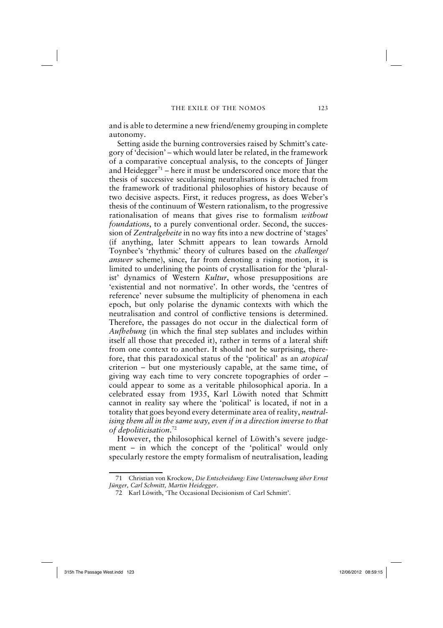and is able to determine a new friend/enemy grouping in complete autonomy.

Setting aside the burning controversies raised by Schmitt's category of 'decision' – which would later be related, in the framework of a comparative conceptual analysis, to the concepts of Jünger and Heidegger<sup>71</sup> – here it must be underscored once more that the thesis of successive secularising neutralisations is detached from the framework of traditional philosophies of history because of two decisive aspects. First, it reduces progress, as does Weber's thesis of the continuum of Western rationalism, to the progressive rationalisation of means that gives rise to formalism *without foundations*, to a purely conventional order. Second, the succession of *Zentralgebeite* in no way fits into a new doctrine of 'stages' (if anything, later Schmitt appears to lean towards Arnold Toynbee's 'rhythmic' theory of cultures based on the *challenge/ answer* scheme), since, far from denoting a rising motion, it is limited to underlining the points of crystallisation for the 'pluralist' dynamics of Western *Kultur*, whose presuppositions are 'existential and not normative'. In other words, the 'centres of reference' never subsume the multiplicity of phenomena in each epoch, but only polarise the dynamic contexts with which the neutralisation and control of conflictive tensions is determined. Therefore, the passages do not occur in the dialectical form of *Aufhebung* (in which the final step sublates and includes within itself all those that preceded it), rather in terms of a lateral shift from one context to another. It should not be surprising, therefore, that this paradoxical status of the 'political' as an *atopical* criterion – but one mysteriously capable, at the same time, of giving way each time to very concrete topographies of order – could appear to some as a veritable philosophical aporia. In a celebrated essay from 1935, Karl Löwith noted that Schmitt cannot in reality say where the 'political' is located, if not in a totality that goes beyond every determinate area of reality, *neutralising them all in the same way, even if in a direction inverse to that of depoliticisation*. 72

However, the philosophical kernel of Löwith's severe judgement – in which the concept of the 'political' would only specularly restore the empty formalism of neutralisation, leading

<sup>71</sup> Christian von Krockow, *Die Entscheidung: Eine Untersuchung über Ernst Jünger, Carl Schmitt, Martin Heidegger*.

<sup>72</sup> Karl Löwith, 'The Occasional Decisionism of Carl Schmitt'.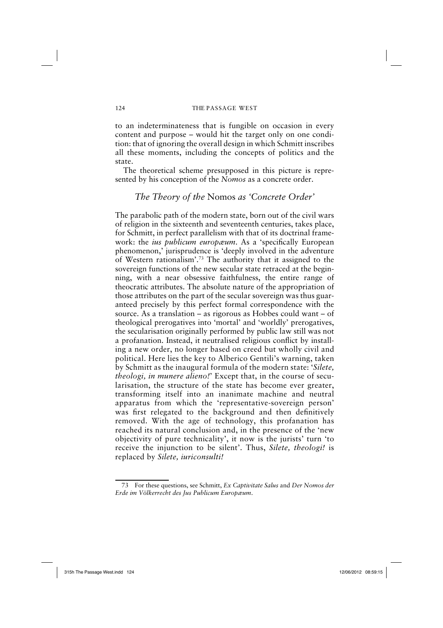to an indeterminateness that is fungible on occasion in every content and purpose – would hit the target only on one condition: that of ignoring the overall design in which Schmitt inscribes all these moments, including the concepts of politics and the state.

The theoretical scheme presupposed in this picture is represented by his conception of the *Nomos* as a concrete order.

## *The Theory of the* Nomos *as 'Concrete Order'*

The parabolic path of the modern state, born out of the civil wars of religion in the sixteenth and seventeenth centuries, takes place, for Schmitt, in perfect parallelism with that of its doctrinal framework: the *ius publicum europæum*. As a 'specifically European phenomenon,' jurisprudence is 'deeply involved in the adventure of Western rationalism'. 73 The authority that it assigned to the sovereign functions of the new secular state retraced at the beginning, with a near obsessive faithfulness, the entire range of theocratic attributes. The absolute nature of the appropriation of those attributes on the part of the secular sovereign was thus guaranteed precisely by this perfect formal correspondence with the source. As a translation – as rigorous as Hobbes could want – of theological prerogatives into 'mortal' and 'worldly' prerogatives, the secularisation originally performed by public law still was not a profanation. Instead, it neutralised religious conflict by installing a new order, no longer based on creed but wholly civil and political. Here lies the key to Alberico Gentili's warning, taken by Schmitt as the inaugural formula of the modern state: '*Silete, theologi, in munere alieno!*' Except that, in the course of secularisation, the structure of the state has become ever greater, transforming itself into an inanimate machine and neutral apparatus from which the 'representative-sovereign person' was first relegated to the background and then definitively removed. With the age of technology, this profanation has reached its natural conclusion and, in the presence of the 'new objectivity of pure technicality', it now is the jurists' turn 'to receive the injunction to be silent'. Thus, *Silete, theologi!* is replaced by *Silete, iuriconsulti!*

<sup>73</sup> For these questions, see Schmitt, *Ex Captivitate Salus* and *Der Nomos der Erde im Völkerrecht des Jus Publicum Europæum*.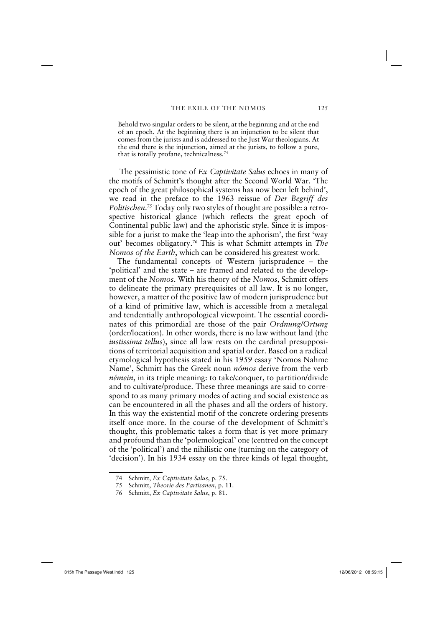Behold two singular orders to be silent, at the beginning and at the end of an epoch. At the beginning there is an injunction to be silent that comes from the jurists and is addressed to the Just War theologians. At the end there is the injunction, aimed at the jurists, to follow a pure, that is totally profane, technicalness.<sup>74</sup>

 The pessimistic tone of *Ex Captivitate Salus* echoes in many of the motifs of Schmitt's thought after the Second World War. 'The epoch of the great philosophical systems has now been left behind', we read in the preface to the 1963 reissue of *Der Begriff des Politischen*. 75 Today only two styles of thought are possible: a retrospective historical glance (which reflects the great epoch of Continental public law) and the aphoristic style. Since it is impossible for a jurist to make the 'leap into the aphorism', the first 'way out' becomes obligatory.76 This is what Schmitt attempts in *The Nomos of the Earth*, which can be considered his greatest work.

The fundamental concepts of Western jurisprudence – the 'political' and the state – are framed and related to the development of the *Nomos*. With his theory of the *Nomos*, Schmitt offers to delineate the primary prerequisites of all law. It is no longer, however, a matter of the positive law of modern jurisprudence but of a kind of primitive law, which is accessible from a metalegal and tendentially anthropological viewpoint. The essential coordinates of this primordial are those of the pair *Ordnung/Ortung* (order/location). In other words, there is no law without land (the *iustissima tellus*), since all law rests on the cardinal presuppositions of territorial acquisition and spatial order. Based on a radical etymological hypothesis stated in his 1959 essay 'Nomos Nahme Name', Schmitt has the Greek noun *nómos* derive from the verb *némein*, in its triple meaning: to take/conquer, to partition/divide and to cultivate/produce. These three meanings are said to correspond to as many primary modes of acting and social existence as can be encountered in all the phases and all the orders of history. In this way the existential motif of the concrete ordering presents itself once more. In the course of the development of Schmitt's thought, this problematic takes a form that is yet more primary and profound than the 'polemological' one (centred on the concept of the 'political') and the nihilistic one (turning on the category of 'decision'). In his 1934 essay on the three kinds of legal thought,

<sup>74</sup> Schmitt, *Ex Captivitate Salus*, p. 75.

<sup>75</sup> Schmitt, *Theorie des Partisanen*, p. 11.

<sup>76</sup> Schmitt, *Ex Captivitate Salus*, p. 81.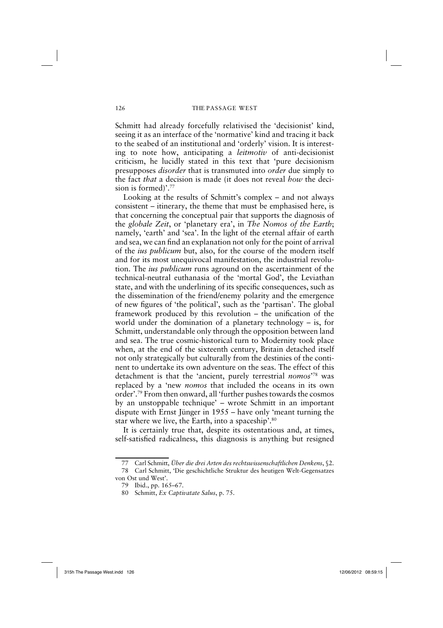Schmitt had already forcefully relativised the 'decisionist' kind, seeing it as an interface of the 'normative' kind and tracing it back to the seabed of an institutional and 'orderly' vision. It is interesting to note how, anticipating a *leitmotiv* of anti-decisionist criticism, he lucidly stated in this text that 'pure decisionism presupposes *disorder* that is transmuted into *order* due simply to the fact *that* a decision is made (it does not reveal *how* the decision is formed)'. 77

Looking at the results of Schmitt's complex – and not always consistent – itinerary, the theme that must be emphasised here, is that concerning the conceptual pair that supports the diagnosis of the *globale Zeit*, or 'planetary era', in *The Nomos of the Earth*; namely, 'earth' and 'sea'. In the light of the eternal affair of earth and sea, we can find an explanation not only for the point of arrival of the *ius publicum* but, also, for the course of the modern itself and for its most unequivocal manifestation, the industrial revolution. The *ius publicum* runs aground on the ascertainment of the technical-neutral euthanasia of the 'mortal God', the Leviathan state, and with the underlining of its specific consequences, such as the dissemination of the friend/enemy polarity and the emergence of new figures of 'the political', such as the 'partisan'. The global framework produced by this revolution  $-$  the unification of the world under the domination of a planetary technology – is, for Schmitt, understandable only through the opposition between land and sea. The true cosmic-historical turn to Modernity took place when, at the end of the sixteenth century, Britain detached itself not only strategically but culturally from the destinies of the continent to undertake its own adventure on the seas. The effect of this detachment is that the 'ancient, purely terrestrial *nomos*' 78 was replaced by a 'new *nomos* that included the oceans in its own order'. 79 From then onward, all 'further pushes towards the cosmos by an unstoppable technique' – wrote Schmitt in an important dispute with Ernst Jünger in 1955 – have only 'meant turning the star where we live, the Earth, into a spaceship'. 80

It is certainly true that, despite its ostentatious and, at times, self-satisfied radicalness, this diagnosis is anything but resigned

<sup>77</sup> Carl Schmitt, *Über die drei Arten des rechtswissenschaftlichen Denkens*, §2. 78 Carl Schmitt, 'Die geschichtliche Struktur des heutigen Welt-Gegensatzes von Ost und West'.

Ibid., pp. 165–67.

<sup>80</sup> Schmitt, *Ex Captivatate Salus*, p. 75.